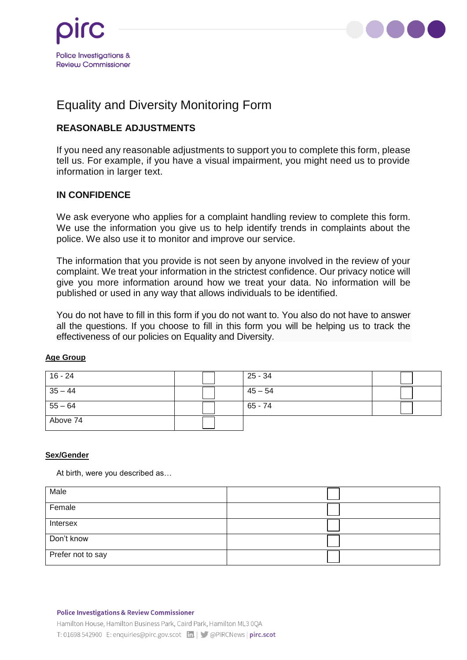

# Equality and Diversity Monitoring Form

# **REASONABLE ADJUSTMENTS**

If you need any reasonable adjustments to support you to complete this form, please tell us. For example, if you have a visual impairment, you might need us to provide information in larger text.

# **IN CONFIDENCE**

We ask everyone who applies for a complaint handling review to complete this form. We use the information you give us to help identify trends in complaints about the police. We also use it to monitor and improve our service.

The information that you provide is not seen by anyone involved in the review of your complaint. We treat your information in the strictest confidence. Our privacy notice will give you more information around how we treat your data. No information will be published or used in any way that allows individuals to be identified.

You do not have to fill in this form if you do not want to. You also do not have to answer all the questions. If you choose to fill in this form you will be helping us to track the effectiveness of our policies on Equality and Diversity.

#### **Age Group**

| $16 - 24$ | $25 - 34$ |  |
|-----------|-----------|--|
| $35 - 44$ | $45 - 54$ |  |
| $55 - 64$ | $65 - 74$ |  |
| Above 74  |           |  |

#### **Sex/Gender**

At birth, were you described as…

| Male              |  |
|-------------------|--|
| Female            |  |
| Intersex          |  |
| Don't know        |  |
| Prefer not to say |  |

#### **Police Investigations & Review Commissioner**

Hamilton House, Hamilton Business Park, Caird Park, Hamilton ML3 0QA T: 01698 542900 E: enquiries@pirc.gov.scot in | C @PIRCNews | pirc.scot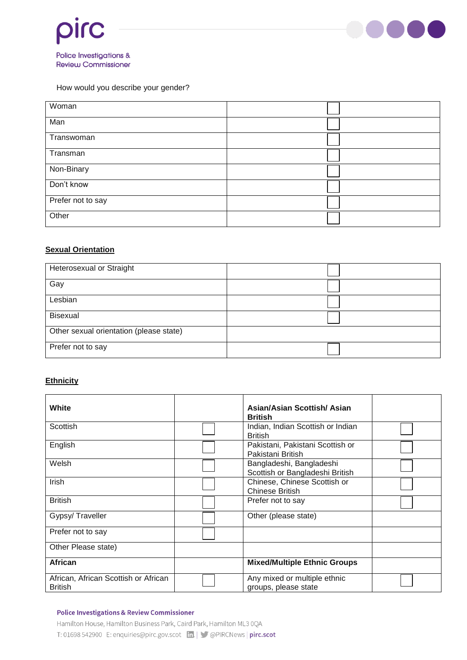



## How would you describe your gender?

| Woman             |  |
|-------------------|--|
| Man               |  |
| Transwoman        |  |
| Transman          |  |
| Non-Binary        |  |
| Don't know        |  |
| Prefer not to say |  |
| Other             |  |

#### **Sexual Orientation**

| Heterosexual or Straight                |  |
|-----------------------------------------|--|
| Gay                                     |  |
| Lesbian                                 |  |
| Bisexual                                |  |
| Other sexual orientation (please state) |  |
| Prefer not to say                       |  |

### **Ethnicity**

| White                                                  | Asian/Asian Scottish/ Asian<br><b>British</b>               |  |
|--------------------------------------------------------|-------------------------------------------------------------|--|
| Scottish                                               | Indian, Indian Scottish or Indian<br><b>British</b>         |  |
| English                                                | Pakistani, Pakistani Scottish or<br>Pakistani British       |  |
| Welsh                                                  | Bangladeshi, Bangladeshi<br>Scottish or Bangladeshi British |  |
| Irish                                                  | Chinese, Chinese Scottish or<br><b>Chinese British</b>      |  |
| <b>British</b>                                         | Prefer not to say                                           |  |
| Gypsy/Traveller                                        | Other (please state)                                        |  |
| Prefer not to say                                      |                                                             |  |
| Other Please state)                                    |                                                             |  |
| African                                                | <b>Mixed/Multiple Ethnic Groups</b>                         |  |
| African, African Scottish or African<br><b>British</b> | Any mixed or multiple ethnic<br>groups, please state        |  |

#### **Police Investigations & Review Commissioner**

Hamilton House, Hamilton Business Park, Caird Park, Hamilton ML3 0QA T: 01698 542900 E: enquiries@pirc.gov.scot hil C@PIRCNews | pirc.scot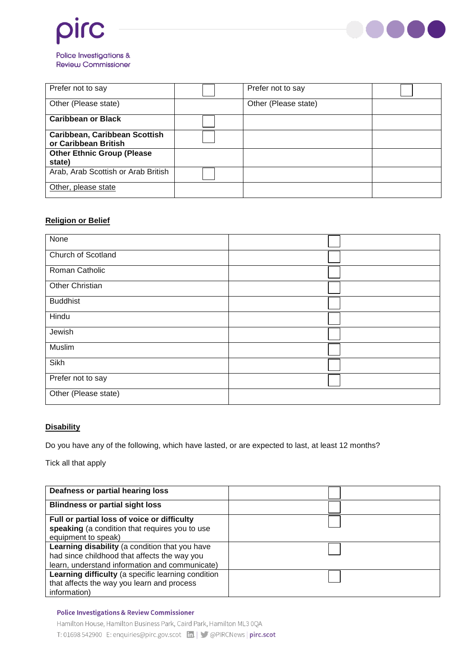



| Prefer not to say                                     | Prefer not to say    |  |
|-------------------------------------------------------|----------------------|--|
| Other (Please state)                                  | Other (Please state) |  |
| <b>Caribbean or Black</b>                             |                      |  |
| Caribbean, Caribbean Scottish<br>or Caribbean British |                      |  |
| <b>Other Ethnic Group (Please</b><br>state)           |                      |  |
| Arab, Arab Scottish or Arab British                   |                      |  |
| Other, please state                                   |                      |  |

## **Religion or Belief**

| None                 |  |
|----------------------|--|
| Church of Scotland   |  |
| Roman Catholic       |  |
| Other Christian      |  |
| <b>Buddhist</b>      |  |
| Hindu                |  |
| Jewish               |  |
| Muslim               |  |
| Sikh                 |  |
| Prefer not to say    |  |
| Other (Please state) |  |

## **Disability**

Do you have any of the following, which have lasted, or are expected to last, at least 12 months?

Tick all that apply

| Deafness or partial hearing loss                   |  |
|----------------------------------------------------|--|
| <b>Blindness or partial sight loss</b>             |  |
| Full or partial loss of voice or difficulty        |  |
| speaking (a condition that requires you to use     |  |
| equipment to speak)                                |  |
| Learning disability (a condition that you have     |  |
| had since childhood that affects the way you       |  |
| learn, understand information and communicate)     |  |
| Learning difficulty (a specific learning condition |  |
| that affects the way you learn and process         |  |
| information)                                       |  |

#### **Police Investigations & Review Commissioner**

Hamilton House, Hamilton Business Park, Caird Park, Hamilton ML3 0QA T: 01698 542900 E: enquiries@pirc.gov.scot hil C@PIRCNews | pirc.scot